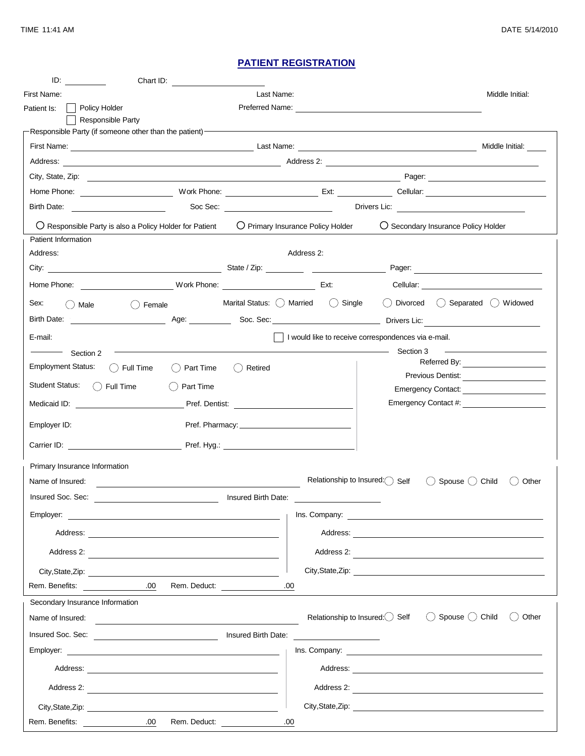## **PATIENT REGISTRATION**

|                                | Chart ID:                                                                                                                                                                                                                            |                                                      |            |                                                                                                                      |                 |                                            |  |
|--------------------------------|--------------------------------------------------------------------------------------------------------------------------------------------------------------------------------------------------------------------------------------|------------------------------------------------------|------------|----------------------------------------------------------------------------------------------------------------------|-----------------|--------------------------------------------|--|
| First Name:                    |                                                                                                                                                                                                                                      |                                                      |            |                                                                                                                      |                 | Middle Initial:                            |  |
| Policy Holder<br>Patient Is:   | Responsible Party                                                                                                                                                                                                                    |                                                      |            |                                                                                                                      | Preferred Name: |                                            |  |
|                                | Responsible Party (if someone other than the patient) <b>Contract and Contract and Contract and Contract and Contract and Contract and Contract and Contract and Contract and Contract and Contract and Contract and Contract an</b> |                                                      |            |                                                                                                                      |                 |                                            |  |
|                                | Middle Initial:                                                                                                                                                                                                                      |                                                      |            |                                                                                                                      |                 |                                            |  |
|                                |                                                                                                                                                                                                                                      |                                                      |            |                                                                                                                      |                 |                                            |  |
|                                |                                                                                                                                                                                                                                      |                                                      |            |                                                                                                                      |                 |                                            |  |
|                                |                                                                                                                                                                                                                                      |                                                      |            |                                                                                                                      |                 |                                            |  |
|                                |                                                                                                                                                                                                                                      |                                                      |            |                                                                                                                      |                 |                                            |  |
|                                | $\bigcirc$ Responsible Party is also a Policy Holder for Patient                                                                                                                                                                     |                                                      |            | ◯ Primary Insurance Policy Holder                                                                                    |                 | ◯ Secondary Insurance Policy Holder        |  |
| Address:                       |                                                                                                                                                                                                                                      |                                                      | Address 2: |                                                                                                                      |                 |                                            |  |
|                                |                                                                                                                                                                                                                                      |                                                      |            |                                                                                                                      |                 |                                            |  |
|                                |                                                                                                                                                                                                                                      |                                                      |            |                                                                                                                      |                 |                                            |  |
|                                |                                                                                                                                                                                                                                      |                                                      |            |                                                                                                                      |                 |                                            |  |
| Sex:<br>( ) Male               | () Female                                                                                                                                                                                                                            | Marital Status: $\bigcirc$ Married $\bigcirc$ Single |            |                                                                                                                      |                 | () Divorced () Separated () Widowed        |  |
|                                |                                                                                                                                                                                                                                      |                                                      |            |                                                                                                                      |                 |                                            |  |
| E-mail:                        | I would like to receive correspondences via e-mail.                                                                                                                                                                                  |                                                      |            |                                                                                                                      |                 |                                            |  |
| Section 2                      |                                                                                                                                                                                                                                      |                                                      |            |                                                                                                                      | Section 3       |                                            |  |
| <b>Employment Status:</b>      | $()$ Full Time<br>() Part Time                                                                                                                                                                                                       | ◯ Retired                                            |            |                                                                                                                      |                 | Referred By: _______________________       |  |
| <b>Student Status:</b>         | $\bigcap$ Full Time<br>Part Time                                                                                                                                                                                                     |                                                      |            |                                                                                                                      |                 |                                            |  |
| Medicaid ID:                   |                                                                                                                                                                                                                                      | Pref. Dentist:                                       |            |                                                                                                                      |                 | Emergency Contact:<br>Emergency Contact #: |  |
|                                |                                                                                                                                                                                                                                      |                                                      |            |                                                                                                                      |                 |                                            |  |
| Employer ID:                   |                                                                                                                                                                                                                                      |                                                      |            |                                                                                                                      |                 |                                            |  |
|                                | Carrier ID: Carrier ID: Carrier ID: Carrier ID: Carrier ID: Carrier ID: Carrier ID: Carrier ID: Carrier ID: Carrier ID: Carrier ID: Carrier ID: Carrier ID: Carrier ID: Carrier ID: Carrier ID: Carrier ID: Carrier ID: Carrie       |                                                      |            |                                                                                                                      |                 |                                            |  |
| Primary Insurance Information- |                                                                                                                                                                                                                                      |                                                      |            |                                                                                                                      |                 |                                            |  |
| Name of Insured:               |                                                                                                                                                                                                                                      |                                                      |            | Relationship to Insured: Self                                                                                        |                 | Spouse () Child<br>Other                   |  |
| Insured Soc. Sec:              | Insured Birth Date:                                                                                                                                                                                                                  |                                                      |            |                                                                                                                      |                 |                                            |  |
|                                |                                                                                                                                                                                                                                      |                                                      |            |                                                                                                                      |                 |                                            |  |
|                                |                                                                                                                                                                                                                                      |                                                      |            |                                                                                                                      |                 |                                            |  |
|                                | Address 2:                                                                                                                                                                                                                           |                                                      |            |                                                                                                                      |                 | Address 2:                                 |  |
|                                |                                                                                                                                                                                                                                      |                                                      |            |                                                                                                                      |                 |                                            |  |
| Rem. Benefits:                 | .00.<br>Rem. Deduct:                                                                                                                                                                                                                 |                                                      | .00        |                                                                                                                      |                 |                                            |  |
|                                | Secondary Insurance Information <sup>-</sup> <b>Secondary Insurance Information</b>                                                                                                                                                  |                                                      |            |                                                                                                                      |                 |                                            |  |
| Name of Insured:               |                                                                                                                                                                                                                                      |                                                      |            | Relationship to Insured: $\bigcirc$ Self                                                                             |                 | () Spouse () Child<br>Other<br>$($ )       |  |
|                                |                                                                                                                                                                                                                                      |                                                      |            | <u> 1980 - Jan Barbara Barbara, prima popular popular popular popular popular popular popular popular popular po</u> |                 |                                            |  |
|                                |                                                                                                                                                                                                                                      |                                                      |            |                                                                                                                      |                 |                                            |  |
|                                |                                                                                                                                                                                                                                      |                                                      |            |                                                                                                                      |                 |                                            |  |
|                                |                                                                                                                                                                                                                                      |                                                      |            |                                                                                                                      |                 |                                            |  |
|                                |                                                                                                                                                                                                                                      |                                                      |            |                                                                                                                      |                 |                                            |  |
| Rem. Benefits:                 | .00.<br>Rem. Deduct: 00                                                                                                                                                                                                              |                                                      |            |                                                                                                                      |                 |                                            |  |